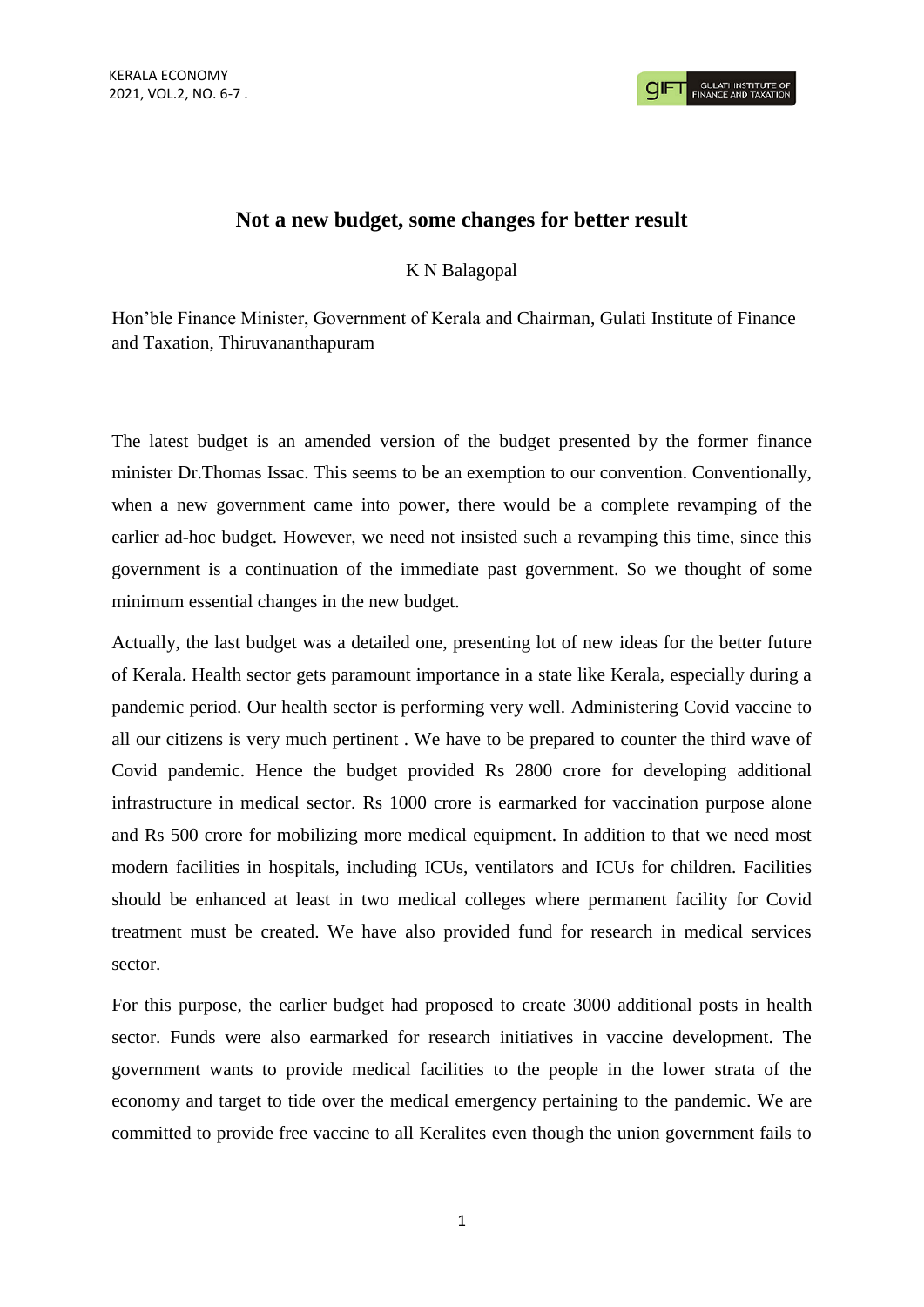

## **Not a new budget, some changes for better result**

K N Balagopal

Hon'ble Finance Minister, Government of Kerala and Chairman, Gulati Institute of Finance and Taxation, Thiruvananthapuram

The latest budget is an amended version of the budget presented by the former finance minister Dr.Thomas Issac. This seems to be an exemption to our convention. Conventionally, when a new government came into power, there would be a complete revamping of the earlier ad-hoc budget. However, we need not insisted such a revamping this time, since this government is a continuation of the immediate past government. So we thought of some minimum essential changes in the new budget.

Actually, the last budget was a detailed one, presenting lot of new ideas for the better future of Kerala. Health sector gets paramount importance in a state like Kerala, especially during a pandemic period. Our health sector is performing very well. Administering Covid vaccine to all our citizens is very much pertinent . We have to be prepared to counter the third wave of Covid pandemic. Hence the budget provided Rs 2800 crore for developing additional infrastructure in medical sector. Rs 1000 crore is earmarked for vaccination purpose alone and Rs 500 crore for mobilizing more medical equipment. In addition to that we need most modern facilities in hospitals, including ICUs, ventilators and ICUs for children. Facilities should be enhanced at least in two medical colleges where permanent facility for Covid treatment must be created. We have also provided fund for research in medical services sector.

For this purpose, the earlier budget had proposed to create 3000 additional posts in health sector. Funds were also earmarked for research initiatives in vaccine development. The government wants to provide medical facilities to the people in the lower strata of the economy and target to tide over the medical emergency pertaining to the pandemic. We are committed to provide free vaccine to all Keralites even though the union government fails to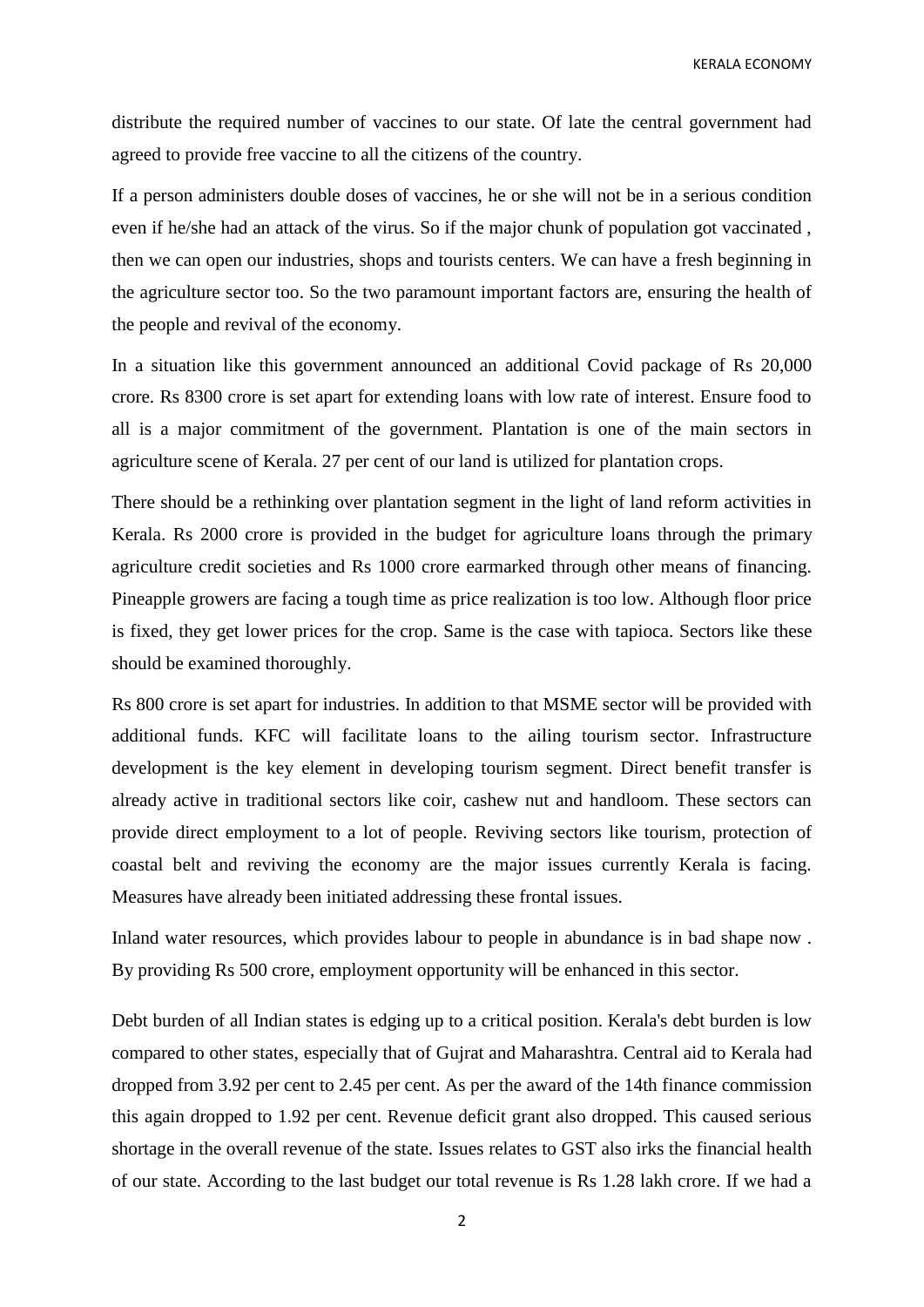KERALA ECONOMY

distribute the required number of vaccines to our state. Of late the central government had agreed to provide free vaccine to all the citizens of the country.

If a person administers double doses of vaccines, he or she will not be in a serious condition even if he/she had an attack of the virus. So if the major chunk of population got vaccinated , then we can open our industries, shops and tourists centers. We can have a fresh beginning in the agriculture sector too. So the two paramount important factors are, ensuring the health of the people and revival of the economy.

In a situation like this government announced an additional Covid package of Rs 20,000 crore. Rs 8300 crore is set apart for extending loans with low rate of interest. Ensure food to all is a major commitment of the government. Plantation is one of the main sectors in agriculture scene of Kerala. 27 per cent of our land is utilized for plantation crops.

There should be a rethinking over plantation segment in the light of land reform activities in Kerala. Rs 2000 crore is provided in the budget for agriculture loans through the primary agriculture credit societies and Rs 1000 crore earmarked through other means of financing. Pineapple growers are facing a tough time as price realization is too low. Although floor price is fixed, they get lower prices for the crop. Same is the case with tapioca. Sectors like these should be examined thoroughly.

Rs 800 crore is set apart for industries. In addition to that MSME sector will be provided with additional funds. KFC will facilitate loans to the ailing tourism sector. Infrastructure development is the key element in developing tourism segment. Direct benefit transfer is already active in traditional sectors like coir, cashew nut and handloom. These sectors can provide direct employment to a lot of people. Reviving sectors like tourism, protection of coastal belt and reviving the economy are the major issues currently Kerala is facing. Measures have already been initiated addressing these frontal issues.

Inland water resources, which provides labour to people in abundance is in bad shape now . By providing Rs 500 crore, employment opportunity will be enhanced in this sector.

Debt burden of all Indian states is edging up to a critical position. Kerala's debt burden is low compared to other states, especially that of Gujrat and Maharashtra. Central aid to Kerala had dropped from 3.92 per cent to 2.45 per cent. As per the award of the 14th finance commission this again dropped to 1.92 per cent. Revenue deficit grant also dropped. This caused serious shortage in the overall revenue of the state. Issues relates to GST also irks the financial health of our state. According to the last budget our total revenue is Rs 1.28 lakh crore. If we had a

2